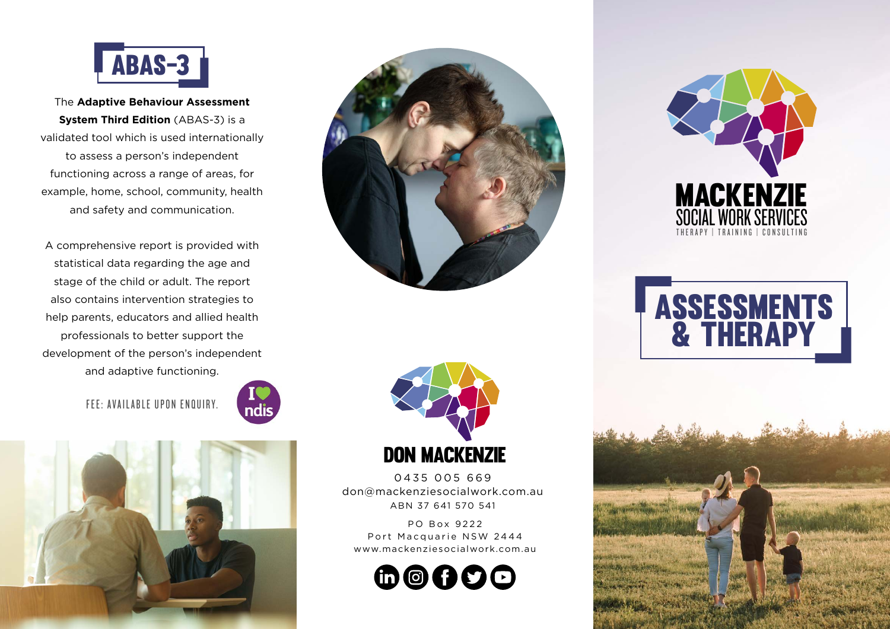

The **Adaptive Behaviour Assessment System Third Edition** (ABAS-3) is a validated tool which is used internationally to assess a person's independent functioning across a range of areas, for example, home, school, community, health and safety and communication.

A comprehensive report is provided with statistical data regarding the age and stage of the child or adult. The report also contains intervention strategies to help parents, educators and allied health professionals to better support the development of the person's independent and adaptive functioning.











0435 005 669 don@mackenziesocialwork.com.au ABN 37 641 570 541

PO Box 9222 Port Macquarie NSW 2444 www.mackenziesocialwork.com.au